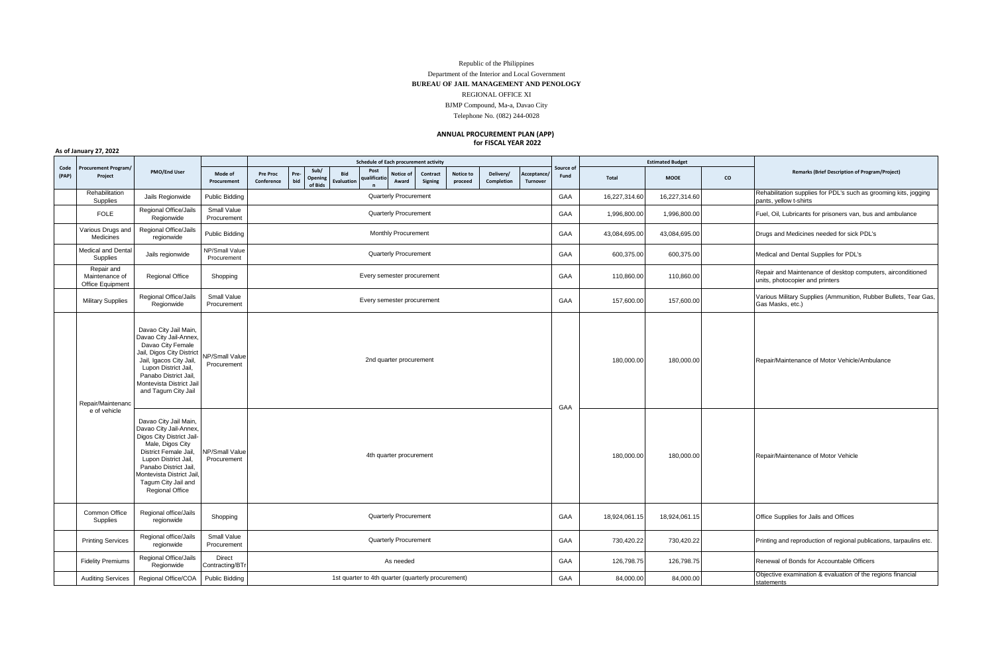## Republic of the Philippines Department of the Interior and Local Government **BUREAU OF JAIL MANAGEMENT AND PENOLOGY** REGIONAL OFFICE XI BJMP Compound, Ma-a, Davao City Telephone No. (082) 244-0028

## **ANNUAL PROCUREMENT PLAN (APP) for FISCAL YEAR 2022**

**As of January 27, 2022**

| Code<br>(PAP) | <b>Procurement Program/</b><br>Project           | <b>PMO/End User</b>                                                                                                                                                                                                                                     |                                      | Schedule of Each procurement activity |                                                    |                   |                    |                                           |                      |                         |     |                        |                   | <b>Estimated Budget</b> |                                                                                            |                                                                           |                                                                                                |
|---------------|--------------------------------------------------|---------------------------------------------------------------------------------------------------------------------------------------------------------------------------------------------------------------------------------------------------------|--------------------------------------|---------------------------------------|----------------------------------------------------|-------------------|--------------------|-------------------------------------------|----------------------|-------------------------|-----|------------------------|-------------------|-------------------------|--------------------------------------------------------------------------------------------|---------------------------------------------------------------------------|------------------------------------------------------------------------------------------------|
|               |                                                  |                                                                                                                                                                                                                                                         | Mode of<br>Procurement               | <b>Pre Proc</b><br>Conference         | Sub/<br>Pre-<br>Opening<br>bid<br>of Bids          | Bid<br>Evaluation | Post<br>ualificati | Notice of<br>Contract<br>Signing<br>Award | Notice to<br>proceed | Delivery/<br>Completion |     | Acceptance<br>Turnover | Source of<br>Fund | <b>Total</b>            | <b>MOOE</b>                                                                                | co                                                                        | <b>Remarks (Brief Description of Program/Project)</b>                                          |
|               | Rehabilitation<br>Supplies                       | Jails Regionwide                                                                                                                                                                                                                                        | Public Bidding                       | Quarterly Procurement                 |                                                    |                   |                    |                                           |                      |                         | GAA | 16,227,314.60          | 16,227,314.60     |                         | Rehabilitation supplies for PDL's such as grooming kits, jogging<br>pants, yellow t-shirts |                                                                           |                                                                                                |
|               | <b>FOLE</b>                                      | Regional Office/Jails<br>Regionwide                                                                                                                                                                                                                     | Small Value<br>Procurement           | Quarterly Procurement                 |                                                    |                   |                    |                                           |                      |                         |     |                        | GAA               | 1,996,800.00            | 1,996,800.00                                                                               |                                                                           | Fuel, Oil, Lubricants for prisoners van, bus and ambulance                                     |
|               | Various Drugs and<br>Medicines                   | Regional Office/Jails<br>regionwide                                                                                                                                                                                                                     | <b>Public Bidding</b>                | Monthly Procurement                   |                                                    |                   |                    |                                           |                      |                         |     |                        | GAA               | 43,084,695.00           | 43,084,695.00                                                                              |                                                                           | Drugs and Medicines needed for sick PDL's                                                      |
|               | Medical and Dental<br>Supplies                   | Jails regionwide                                                                                                                                                                                                                                        | NP/Small Value<br>Procurement        | <b>Quarterly Procurement</b>          |                                                    |                   |                    |                                           |                      |                         |     |                        | GAA               | 600,375.00              | 600,375.00                                                                                 |                                                                           | Medical and Dental Supplies for PDL's                                                          |
|               | Repair and<br>Maintenance of<br>Office Equipment | <b>Regional Office</b>                                                                                                                                                                                                                                  | Shopping                             | Every semester procurement            |                                                    |                   |                    |                                           |                      |                         |     |                        | GAA               | 110,860.00              | 110,860.00                                                                                 |                                                                           | Repair and Maintenance of desktop computers, airconditioned<br>units, photocopier and printers |
|               | <b>Military Supplies</b>                         | Regional Office/Jails<br>Regionwide                                                                                                                                                                                                                     | Small Value<br>Procurement           | Every semester procurement            |                                                    |                   |                    |                                           |                      |                         | GAA | 157,600.00             | 157,600.00        |                         | Various Military Supplies (Ammunition, Rubber Bullets, Tear Gas,<br>Gas Masks, etc.)       |                                                                           |                                                                                                |
|               | Repair/Maintenanc                                | Davao City Jail Main,<br>Davao City Jail-Annex,<br>Davao City Female<br>Jail, Digos City District<br>Jail, Igacos City Jail,<br>Lupon District Jail,<br>Panabo District Jail<br>Montevista District Jail<br>and Tagum City Jail                         | <b>VP/Small Value</b><br>Procurement |                                       | 2nd quarter procurement                            |                   |                    |                                           |                      |                         |     |                        | GAA               | 180.000.00              | 180.000.00                                                                                 |                                                                           | Repair/Maintenance of Motor Vehicle/Ambulance                                                  |
|               | e of vehicle                                     | Davao City Jail Main,<br>Davao City Jail-Annex.<br>Digos City District Jail-<br>Male, Digos City<br>District Female Jail.<br>Lupon District Jail.<br>Panabo District Jail.<br>Montevista District Jail<br>Tagum City Jail and<br><b>Regional Office</b> | NP/Small Value<br>Procurement        | 4th quarter procurement               |                                                    |                   |                    |                                           |                      |                         |     |                        |                   | 180.000.00              | 180.000.00                                                                                 |                                                                           | Repair/Maintenance of Motor Vehicle                                                            |
|               | Common Office<br>Supplies                        | Regional office/Jails<br>regionwide                                                                                                                                                                                                                     | Shopping                             | Quarterly Procurement                 |                                                    |                   |                    |                                           |                      |                         |     |                        | GAA               | 18,924,061.15           | 18,924,061.15                                                                              |                                                                           | Office Supplies for Jails and Offices                                                          |
|               | <b>Printing Services</b>                         | Regional office/Jails<br>regionwide                                                                                                                                                                                                                     | Small Value<br>Procurement           | Quarterly Procurement                 |                                                    |                   |                    |                                           |                      |                         |     |                        | GAA               | 730,420.22              | 730,420.22                                                                                 |                                                                           | Printing and reproduction of regional publications, tarpaulins etc.                            |
|               | <b>Fidelity Premiums</b>                         | Regional Office/Jails<br>Regionwide                                                                                                                                                                                                                     | Direct<br>Contracting/BTr            | As needed                             |                                                    |                   |                    |                                           |                      |                         |     |                        | GAA               | 126,798.75              | 126,798.75                                                                                 |                                                                           | Renewal of Bonds for Accountable Officers                                                      |
|               | <b>Auditing Services</b>                         | Regional Office/COA                                                                                                                                                                                                                                     | <b>Public Bidding</b>                |                                       | 1st quarter to 4th quarter (quarterly procurement) |                   |                    |                                           |                      |                         |     | GAA                    | 84,000.00         | 84,000.00               |                                                                                            | Objective examination & evaluation of the regions financial<br>statements |                                                                                                |